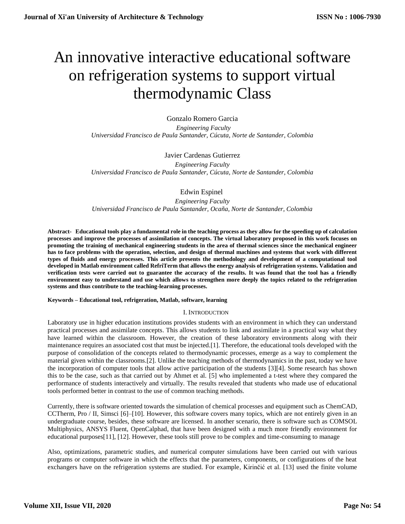# An innovative interactive educational software on refrigeration systems to support virtual thermodynamic Class

Gonzalo Romero Garcia  *Engineering Faculty Universidad Francisco de Paula Santander, Cúcuta, Norte de Santander, Colombia*

Javier Cardenas Gutierrez

*Engineering Faculty Universidad Francisco de Paula Santander, Cúcuta, Norte de Santander, Colombia*

# Edwin Espinel

*Engineering Faculty Universidad Francisco de Paula Santander, Ocaña, Norte de Santander, Colombia*

**Abstract- Educational tools play a fundamental role in the teaching process as they allow for the speeding up of calculation processes and improve the processes of assimilation of concepts. The virtual laboratory proposed in this work focuses on promoting the training of mechanical engineering students in the area of thermal sciences since the mechanical engineer has to face problems with the operation, selection, and design of thermal machines and systems that work with different types of fluids and energy processes. This article presents the methodology and development of a computational tool developed in Matlab environment called RefriTerm that allows the energy analysis of refrigeration systems. Validation and verification tests were carried out to guarantee the accuracy of the results. It was found that the tool has a friendly environment easy to understand and use which allows to strengthen more deeply the topics related to the refrigeration systems and thus contribute to the teaching-learning processes.**

## **Keywords – Educational tool, refrigeration, Matlab, software, learning**

## I. INTRODUCTION

Laboratory use in higher education institutions provides students with an environment in which they can understand practical processes and assimilate concepts. This allows students to link and assimilate in a practical way what they have learned within the classroom. However, the creation of these laboratory environments along with their maintenance requires an associated cost that must be injected.[1]. Therefore, the educational tools developed with the purpose of consolidation of the concepts related to thermodynamic processes, emerge as a way to complement the material given within the classrooms.[2]. Unlike the teaching methods of thermodynamics in the past, today we have the incorporation of computer tools that allow active participation of the students [3][4]. Some research has shown this to be the case, such as that carried out by Ahmet et al. [5] who implemented a t-test where they compared the performance of students interactively and virtually. The results revealed that students who made use of educational tools performed better in contrast to the use of common teaching methods.

Currently, there is software oriented towards the simulation of chemical processes and equipment such as ChemCAD, CCTherm, Pro / II, Simsci [6]–[10]. However, this software covers many topics, which are not entirely given in an undergraduate course, besides, these software are licensed. In another scenario, there is software such as COMSOL Multiphysics, ANSYS Fluent, OpenCalphad, that have been designed with a much more friendly environment for educational purposes[11], [12]. However, these tools still prove to be complex and time-consuming to manage

Also, optimizations, parametric studies, and numerical computer simulations have been carried out with various programs or computer software in which the effects that the parameters, components, or configurations of the heat exchangers have on the refrigeration systems are studied. For example, Kirinčić et al. [13] used the finite volume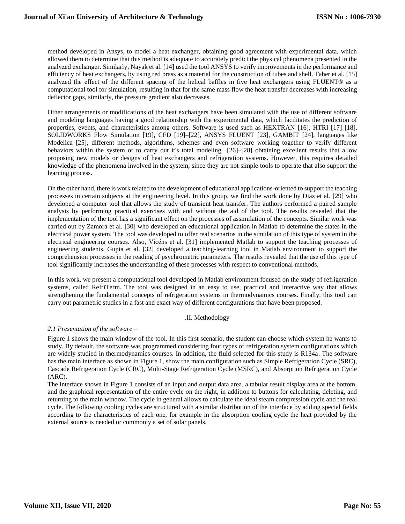method developed in Ansys, to model a heat exchanger, obtaining good agreement with experimental data, which allowed them to determine that this method is adequate to accurately predict the physical phenomena presented in the analyzed exchanger. Similarly, Nayak et al. [14] used the tool ANSYS to verify improvements in the performance and efficiency of heat exchangers, by using red brass as a material for the construction of tubes and shell. Taher et al. [15] analyzed the effect of the different spacing of the helical baffles in five heat exchangers using FLUENT® as a computational tool for simulation, resulting in that for the same mass flow the heat transfer decreases with increasing deflector gaps, similarly, the pressure gradient also decreases.

Other arrangements or modifications of the heat exchangers have been simulated with the use of different software and modeling languages having a good relationship with the experimental data, which facilitates the prediction of properties, events, and characteristics among others. Software is used such as HEXTRAN [16], HTRI [17] [18], SOLIDWORKS Flow Simulation [19], CFD [19]–[22], ANSYS FLUENT [23], GAMBIT [24], languages like Modelica [25], different methods, algorithms, schemes and even software working together to verify different behaviors within the system or to carry out it's total modeling [26]–[28] obtaining excellent results that allow proposing new models or designs of heat exchangers and refrigeration systems. However, this requires detailed knowledge of the phenomena involved in the system, since they are not simple tools to operate that also support the learning process.

On the other hand, there is work related to the development of educational applications-oriented to support the teaching processes in certain subjects at the engineering level. In this group, we find the work done by Diaz et al. [29] who developed a computer tool that allows the study of transient heat transfer. The authors performed a paired sample analysis by performing practical exercises with and without the aid of the tool. The results revealed that the implementation of the tool has a significant effect on the processes of assimilation of the concepts. Similar work was carried out by Zamora et al. [30] who developed an educational application in Matlab to determine the states in the electrical power system. The tool was developed to offer real scenarios in the simulation of this type of system in the electrical engineering courses. Also, Vicéns et al. [31] implemented Matlab to support the teaching processes of engineering students. Gupta et al. [32] developed a teaching-learning tool in Matlab environment to support the comprehension processes in the reading of psychrometric parameters. The results revealed that the use of this type of tool significantly increases the understanding of these processes with respect to conventional methods.

In this work, we present a computational tool developed in Matlab environment focused on the study of refrigeration systems, called RefriTerm. The tool was designed in an easy to use, practical and interactive way that allows strengthening the fundamental concepts of refrigeration systems in thermodynamics courses. Finally, this tool can carry out parametric studies in a fast and exact way of different configurations that have been proposed.

## .II. Methodology

## *2.1 Presentation of the software –*

Figure 1 shows the main window of the tool. In this first scenario, the student can choose which system he wants to study. By default, the software was programmed considering four types of refrigeration system configurations which are widely studied in thermodynamics courses. In addition, the fluid selected for this study is R134a. The software has the main interface as shown in Figure 1, show the main configuration such as Simple Refrigeration Cycle (SRC), Cascade Refrigeration Cycle (CRC), Multi-Stage Refrigeration Cycle (MSRC), and Absorption Refrigeration Cycle (ARC).

The interface shown in Figure 1 consists of an input and output data area, a tabular result display area at the bottom, and the graphical representation of the entire cycle on the right, in addition to buttons for calculating, deleting, and returning to the main window. The cycle in general allows to calculate the ideal steam compression cycle and the real cycle. The following cooling cycles are structured with a similar distribution of the interface by adding special fields according to the characteristics of each one, for example in the absorption cooling cycle the heat provided by the external source is needed or commonly a set of solar panels.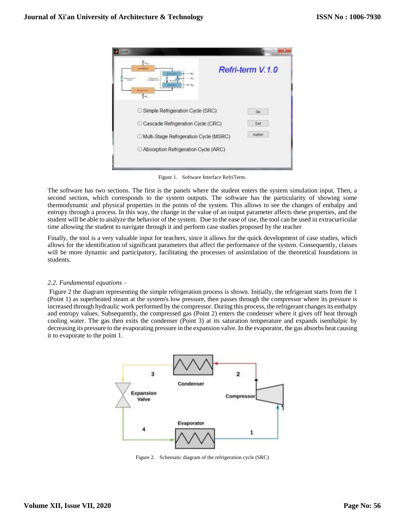| Tek.<br>[≪                               | Refri-term V.1.0 |
|------------------------------------------|------------------|
| C Simple Refrigeration Cycle (SRC)       | Gp               |
| O Cascade Refrigeration Cycle (CRC)      | Exit             |
| O Multi-Stage Refrigeration Cycle (MSRC) | Author           |
| O Absorption Refrigeration Cycle (ARC)   |                  |

Figure 1. Software Interface RefriTerm.

The software has two sections. The first is the panels where the student enters the system simulation input. Then, a second section, which corresponds to the system outputs. The software has the particularity of showing some thermodynamic and physical properties in the points of the system. This allows to see the changes of enthalpy and entropy through a process. In this way, the change in the value of an output parameter affects these properties, and the student will be able to analyze the behavior of the system. Due to the ease of use, the tool can be used in extracurricular time allowing the student to navigate through it and perform case studies proposed by the teacher

Finally, the tool is a very valuable input for teachers, since it allows for the quick development of case studies, which allows for the identification of significant parameters that affect the performance of the system. Consequently, classes will be more dynamic and participatory, facilitating the processes of assimilation of the theoretical foundations in students.

## *2.2. Fundamental equations –*

Figure 2 the diagram representing the simple refrigeration process is shown. Initially, the refrigerant starts from the 1 (Point 1) as superheated steam at the system's low pressure, then passes through the compressor where its pressure is increased through hydraulic work performed by the compressor. During this process, the refrigerant changes its enthalpy and entropy values. Subsequently, the compressed gas (Point 2) enters the condenser where it gives off heat through cooling water. The gas then exits the condenser (Point 3) at its saturation temperature and expands isenthalpic by decreasing its pressure to the evaporating pressure in the expansion valve. In the evaporator, the gas absorbs heat causing it to evaporate to the point 1.



Figure 2. Schematic diagram of the refrigeration cycle (SRC)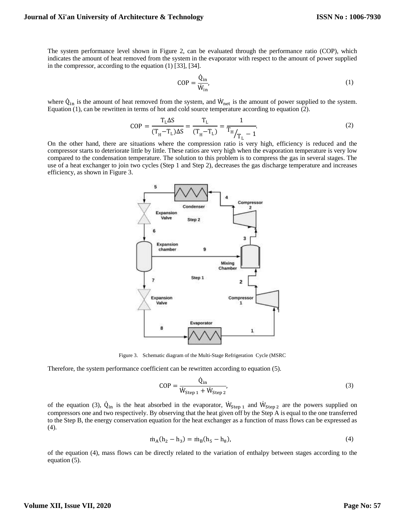The system performance level shown in Figure 2, can be evaluated through the performance ratio (COP), which indicates the amount of heat removed from the system in the evaporator with respect to the amount of power supplied in the compressor, according to the equation (1) [33], [34].

$$
COP = \frac{\dot{Q}_{in}}{\dot{W}_{in}},\tag{1}
$$

where  $\dot{Q}_{in}$  is the amount of heat removed from the system, and  $\dot{W}_{net}$  is the amount of power supplied to the system. Equation (1), can be rewritten in terms of hot and cold source temperature according to equation (2).

$$
COP = \frac{T_{L} \Delta S}{(T_{H} - T_{L}) \Delta S} = \frac{T_{L}}{(T_{H} - T_{L})} = \frac{1}{T_{H}/T_{L} - 1}.
$$
\n(2)

On the other hand, there are situations where the compression ratio is very high, efficiency is reduced and the compressor starts to deteriorate little by little. These ratios are very high when the evaporation temperature is very low compared to the condensation temperature. The solution to this problem is to compress the gas in several stages. The use of a heat exchanger to join two cycles (Step 1 and Step 2), decreases the gas discharge temperature and increases efficiency, as shown in Figure 3.



Figure 3. Schematic diagram of the Multi-Stage Refrigeration Cycle (MSRC

Therefore, the system performance coefficient can be rewritten according to equation (5).

$$
COP = \frac{\dot{Q}_{in}}{\dot{W}_{Step 1} + \dot{W}_{Step 2}},
$$
\n(3)

of the equation (3),  $\dot{Q}_{in}$  is the heat absorbed in the evaporator,  $\dot{W}_{Step 1}$  and  $\dot{W}_{Step 2}$  are the powers supplied on compressors one and two respectively. By observing that the heat given off by the Step A is equal to the one transferred to the Step B, the energy conservation equation for the heat exchanger as a function of mass flows can be expressed as (4).

$$
\dot{m}_A(h_2 - h_3) = \dot{m}_B(h_5 - h_8),\tag{4}
$$

of the equation (4), mass flows can be directly related to the variation of enthalpy between stages according to the equation (5).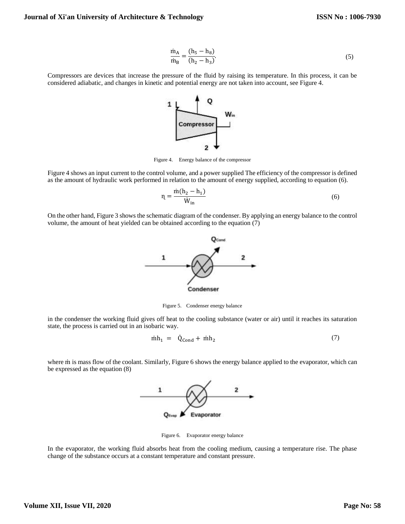$$
\frac{\dot{m}_A}{\dot{m}_B} = \frac{(h_5 - h_8)}{(h_2 - h_3)}.
$$
\n(5)

Compressors are devices that increase the pressure of the fluid by raising its temperature. In this process, it can be considered adiabatic, and changes in kinetic and potential energy are not taken into account, see Figure 4.



Figure 4. Energy balance of the compressor

Figure 4 shows an input current to the control volume, and a power supplied The efficiency of the compressor is defined as the amount of hydraulic work performed in relation to the amount of energy supplied, according to equation (6).

$$
n = \frac{\dot{m}(h_2 - h_1)}{\dot{W}_{in}}\tag{6}
$$

On the other hand, Figure 3 shows the schematic diagram of the condenser. By applying an energy balance to the control volume, the amount of heat yielded can be obtained according to the equation (7)



Figure 5. Condenser energy balance

in the condenser the working fluid gives off heat to the cooling substance (water or air) until it reaches its saturation state, the process is carried out in an isobaric way.

$$
\dot{m}h_1 = \dot{Q}_{\text{Cond}} + \dot{m}h_2 \tag{7}
$$

where m is mass flow of the coolant. Similarly, Figure 6 shows the energy balance applied to the evaporator, which can be expressed as the equation (8)



Figure 6. Evaporator energy balance

In the evaporator, the working fluid absorbs heat from the cooling medium, causing a temperature rise. The phase change of the substance occurs at a constant temperature and constant pressure.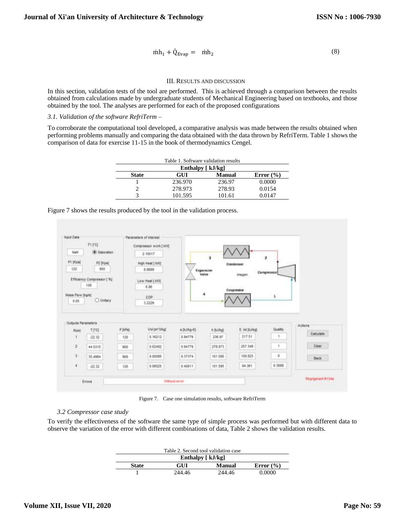$$
\dot{m}h_1 + \dot{Q}_{Evap} = \dot{m}h_2 \tag{8}
$$

#### III. RESULTS AND DISCUSSION

In this section, validation tests of the tool are performed. This is achieved through a comparison between the results obtained from calculations made by undergraduate students of Mechanical Engineering based on textbooks, and those obtained by the tool. The analyses are performed for each of the proposed configurations

## *3.1. Validation of the software RefriTerm* –

To corroborate the computational tool developed, a comparative analysis was made between the results obtained when performing problems manually and comparing the data obtained with the data thrown by RefriTerm. Table 1 shows the comparison of data for exercise 11-15 in the book of thermodynamics Cengel.

|              | Table 1. Software validation results |               |               |
|--------------|--------------------------------------|---------------|---------------|
|              | Enthalpy $\lceil kJ/kg \rceil$       |               |               |
| <b>State</b> | GUI                                  | <b>Manual</b> | Error $(\% )$ |
|              | 236.970                              | 236.97        | 0.0000        |
|              | 278.973                              | 278.93        | 0.0154        |
|              | 101.595                              | 101.61        | 0.0147        |

|  |  |  |  | Figure 7 shows the results produced by the tool in the validation process. |  |
|--|--|--|--|----------------------------------------------------------------------------|--|
|  |  |  |  |                                                                            |  |



Figure 7. Case one simulation results, software RefriTerm

#### *3.2 Compressor case study*

To verify the effectiveness of the software the same type of simple process was performed but with different data to observe the variation of the error with different combinations of data, Table 2 shows the validation results.

|              | Table 2. Second tool validation case |        |               |
|--------------|--------------------------------------|--------|---------------|
|              | Enthalpy $\lceil kJ/kg \rceil$       |        |               |
| <b>State</b> | GUI                                  | Manual | Error $(\% )$ |
|              | 244.46                               | 244.46 | 0.0000        |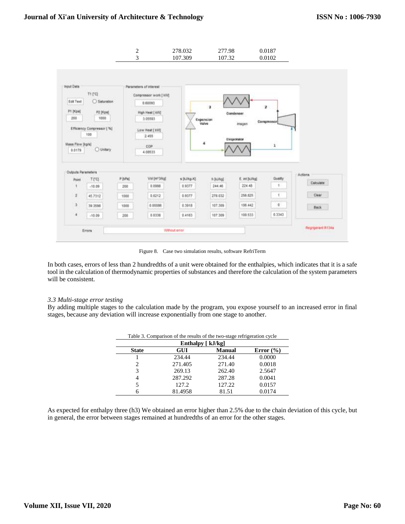

Figure 8. Case two simulation results, software RefriTerm

In both cases, errors of less than 2 hundredths of a unit were obtained for the enthalpies, which indicates that it is a safe tool in the calculation of thermodynamic properties of substances and therefore the calculation of the system parameters will be consistent.

#### *3.3 Multi-stage error testing*

By adding multiple stages to the calculation made by the program, you expose yourself to an increased error in final stages, because any deviation will increase exponentially from one stage to another.

|                | Enthalpy $\lceil kJ/kg \rceil$ |               |               |
|----------------|--------------------------------|---------------|---------------|
| <b>State</b>   | <b>GUI</b>                     | <b>Manual</b> | Error $(\% )$ |
|                | 234.44                         | 234.44        | 0.0000        |
| 2              | 271.405                        | 271.40        | 0.0018        |
| 3              | 269.13                         | 262.40        | 2.5647        |
| $\overline{4}$ | 287.292                        | 287.28        | 0.0041        |
|                | 127.2                          | 127.22        | 0.0157        |
|                | 81.4958                        | 81.51         | 0.0174        |

Table 3. Comparison of the results of the two-stage refrigeration cycle

As expected for enthalpy three (h3) We obtained an error higher than 2.5% due to the chain deviation of this cycle, but in general, the error between stages remained at hundredths of an error for the other stages.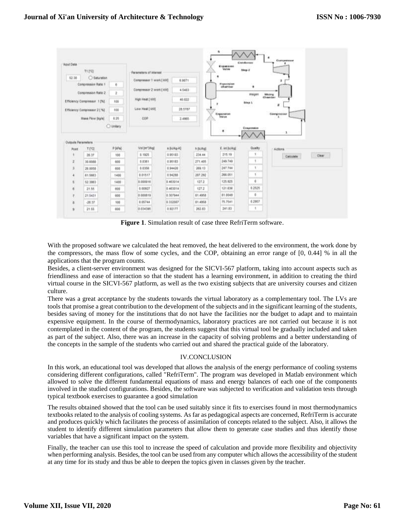| Wout Date          |                              |                        |                         |             |              | Engansert                      | Grenderson<br>Sing Z |                     |  |
|--------------------|------------------------------|------------------------|-------------------------|-------------|--------------|--------------------------------|----------------------|---------------------|--|
|                    | 71,742                       |                        | Perameters of interest  |             | <b>COLLA</b> |                                |                      |                     |  |
| 52.28              | C Gaturation                 |                        | Compressor 1 work [ MN] | 6.9071      |              |                                |                      | ×                   |  |
|                    | Compression Ratio 1          | n.                     |                         |             |              | <b>Experision</b><br>sharriser | ۰                    |                     |  |
|                    | Compression Ratio 2          | $\ddot{x}$             | Compressor 2 work ( KW) | 4,6403      |              |                                | inager               | <b>Mining</b>       |  |
|                    | Efficiency Compressor 1 (%). | 100                    | High Heat [ kW]         | 40,822      |              |                                | <b>Block</b>         | <b>Clivewrokens</b> |  |
|                    | Efficiency Congresser 21%L   | 100                    | Low Heat [ KVI]         | 28,5787     | <b>Will</b>  |                                |                      | ×<br>Compressor     |  |
|                    | <b>Mass Flow [kg/s]</b>      | 8.25                   | cor                     | 2.4965      | ×            | <b>Capaciniston</b>            |                      |                     |  |
|                    |                              | C untary               |                         |             |              |                                |                      |                     |  |
|                    |                              |                        |                         |             |              | ۰                              | Еминовине            | x                   |  |
|                    |                              | P (kPa)                | Val (er 3/kg)           | a during KI | h (k.Wa)     | E. Vd [kJ/kg]                  | Gualty               |                     |  |
| Point              | TI'GI<br>26.37               | 100                    | $-1.1921$               | 0.95123     | 254.44       | 215.19                         | ×                    | Actions             |  |
| ž                  | 30.6088                      | 401                    | 0.6301                  | 0.98183     | 271,405      | 249,740                        |                      | Dear<br>Calculate   |  |
| 3                  | 20.0058                      | 600                    | 0.0356                  | 0.94420     | 269.13       | 247.744                        |                      |                     |  |
| ٠                  | 61,5863                      | <b>LEISTER</b><br>1480 | 0.01517                 | 0.94288     | 207.292      | 266,051                        |                      |                     |  |
| t                  | 12,1003                      | 1400                   | 010000.0                | 0.463014    | 127.2        | 125, 625                       | ű.                   |                     |  |
| e                  | 21.55                        | 608                    | 0.00927                 | 0.463014    | 127.2        | 121,638                        | 0.2525               |                     |  |
|                    | 21.5431                      | 400                    | 0.000819                | 6.507944    | 81,4958      | <b>COLOR</b><br>81.0049        | <b>Auto Ser</b><br>ä |                     |  |
| Outputs Parameters | $-26.37$                     | 101                    | 0.05744                 | 0.332087    | 81,4958      | 75.7541                        | 0.2957               |                     |  |

**Figure 1**. Simulation result of case three RefriTerm software.

With the proposed software we calculated the heat removed, the heat delivered to the environment, the work done by the compressors, the mass flow of some cycles, and the COP, obtaining an error range of [0, 0.44] % in all the applications that the program counts.

Besides, a client-server environment was designed for the SICVI-567 platform, taking into account aspects such as friendliness and ease of interaction so that the student has a learning environment, in addition to creating the third virtual course in the SICVI-567 platform, as well as the two existing subjects that are university courses and citizen culture.

There was a great acceptance by the students towards the virtual laboratory as a complementary tool. The LVs are tools that promise a great contribution to the development of the subjects and in the significant learning of the students, besides saving of money for the institutions that do not have the facilities nor the budget to adapt and to maintain expensive equipment. In the course of thermodynamics, laboratory practices are not carried out because it is not contemplated in the content of the program, the students suggest that this virtual tool be gradually included and taken as part of the subject. Also, there was an increase in the capacity of solving problems and a better understanding of the concepts in the sample of the students who carried out and shared the practical guide of the laboratory.

## IV.CONCLUSION

In this work, an educational tool was developed that allows the analysis of the energy performance of cooling systems considering different configurations, called "RefriTerm". The program was developed in Matlab environment which allowed to solve the different fundamental equations of mass and energy balances of each one of the components involved in the studied configurations. Besides, the software was subjected to verification and validation tests through typical textbook exercises to guarantee a good simulation

The results obtained showed that the tool can be used suitably since it fits to exercises found in most thermodynamics textbooks related to the analysis of cooling systems. As far as pedagogical aspects are concerned, RefriTerm is accurate and produces quickly which facilitates the process of assimilation of concepts related to the subject. Also, it allows the student to identify different simulation parameters that allow them to generate case studies and thus identify those variables that have a significant impact on the system.

Finally, the teacher can use this tool to increase the speed of calculation and provide more flexibility and objectivity when performing analysis. Besides, the tool can be used from any computer which allows the accessibility of the student at any time for its study and thus be able to deepen the topics given in classes given by the teacher.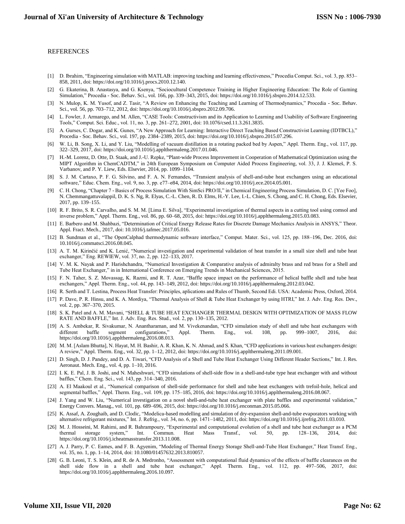#### REFERENCES

- [1] D. Ibrahim, "Engineering simulation with MATLAB: improving teaching and learning effectiveness," Procedia Comput. Sci., vol. 3, pp. 853– 858, 2011, doi: https://doi.org/10.1016/j.procs.2010.12.140.
- [2] G. Ekaterina, B. Anastasya, and G. Ksenya, "Sociocultural Competence Training in Higher Engineering Education: The Role of Gaming Simulation," Procedia - Soc. Behav. Sci., vol. 166, pp. 339–343, 2015, doi: https://doi.org/10.1016/j.sbspro.2014.12.533.
- [3] N. Mulop, K. M. Yusof, and Z. Tasir, "A Review on Enhancing the Teaching and Learning of Thermodynamics," Procedia Soc. Behav. Sci., vol. 56, pp. 703–712, 2012, doi: https://doi.org/10.1016/j.sbspro.2012.09.706.
- [4] L. Fowler, J. Armarego, and M. Allen, "CASE Tools: Constructivism and its Application to Learning and Usability of Software Engineering Tools," Comput. Sci. Educ., vol. 11, no. 3, pp. 261–272, 2001, doi: 10.1076/csed.11.3.261.3835.
- [5] A. Gurses, C. Dogar, and K. Gunes, "A New Approach for Learning: Interactive Direct Teaching Based Constructivist Learning (IDTBCL)," Procedia - Soc. Behav. Sci., vol. 197, pp. 2384–2389, 2015, doi: https://doi.org/10.1016/j.sbspro.2015.07.296.
- [6] W. Li, B. Song, X. Li, and Y. Liu, "Modelling of vacuum distillation in a rotating packed bed by Aspen," Appl. Therm. Eng., vol. 117, pp. 322–329, 2017, doi: https://doi.org/10.1016/j.applthermaleng.2017.01.046.
- [7] H.-M. Lorenz, D. Otte, D. Staak, and J.-U. Repke, "Plant-wide Process Improvement in Cooperation of Mathematical Optimization using the MIPT Algorithm in ChemCADTM," in 24th European Symposium on Computer Aided Process Engineering, vol. 33, J. J. Klemeš, P. S. Varbanov, and P. Y. Liew, Eds. Elsevier, 2014, pp. 1099–1104.
- [8] S. J. M. Cartaxo, P. F. G. Silvino, and F. A. N. Fernandes, "Transient analysis of shell-and-tube heat exchangers using an educational software," Educ. Chem. Eng., vol. 9, no. 3, pp. e77–e84, 2014, doi: https://doi.org/10.1016/j.ece.2014.05.001.
- [9] C. H. Chong, "Chapter 7 Basics of Process Simulation With SimSci PRO/II," in Chemical Engineering Process Simulation, D. C. [Yee Foo], N. Chemmangattuvalappil, D. K. S. Ng, R. Elyas, C.-L. Chen, R. D. Elms, H.-Y. Lee, I.-L. Chien, S. Chong, and C. H. Chong, Eds. Elsevier, 2017, pp. 139–155.
- [10] R. F. Brito, S. R. Carvalho, and S. M. M. [Lima E. Silva], "Experimental investigation of thermal aspects in a cutting tool using comsol and inverse problem," Appl. Therm. Eng., vol. 86, pp. 60–68, 2015, doi: https://doi.org/10.1016/j.applthermaleng.2015.03.083.
- [11] E. Barbero and M. Shahbazi, "Determination of Critical Energy Release Rates for Discrete Damage Mechanics Analysis in ANSYS," Theor. Appl. Fract. Mech., 2017, doi: 10.1016/j.tafmec.2017.05.016.
- [12] B. Sundman et al., "The OpenCalphad thermodynamic software interface," Comput. Mater. Sci., vol. 125, pp. 188–196, Dec. 2016, doi: 10.1016/j.commatsci.2016.08.045.
- [13] A. T. M. Kirinčić and K. Lenić, "Numerical investigation and experimental validation of heat transfer in a small size shell and tube heat exchanger," Eng. REWIEW, vol. 37, no. 2, pp. 122–133, 2017.
- [14] V. M. K. Nayak and P. Harishchandra, "Numerical Investigation & Comparative analysis of admiralty brass and red brass for a Shell and Tube Heat Exchanger," in in International Conference on Emerging Trends in Mechanical Sciences, 2015.
- [15] F. N. Taher, S. Z. Movassag, K. Razmi, and R. T. Azar, "Baffle space impact on the performance of helical baffle shell and tube heat exchangers," Appl. Therm. Eng., vol. 44, pp. 143–149, 2012, doi: https://doi.org/10.1016/j.applthermaleng.2012.03.042.
- [16] R. Serth and T. Lestina, Process Heat Transfer: Principles, aplications and Rules of Thumb, Second Edi. USA: Acаdemic Prеss, Oxford, 2014.
- [17] P. Dave, P. R. Hinsu, and K. A. Mordiya, "Thermal Analysis of Shell & Tube Heat Exchanger by using HTRI," Int. J. Adv. Eng. Res. Dev., vol. 2, pp. 367–370, 2015.
- [18] S. K. Patel and A. M. Mavani, "SHELL & TUBE HEAT EXCHANGER THERMAL DESIGN WITH OPTIMIZATION OF MASS FLOW RATE AND BAFFLE," Int. J. Adv. Eng. Res. Stud., vol. 2, pp. 130–135, 2012.
- [19] A. S. Ambekar, R. Sivakumar, N. Anantharaman, and M. Vivekenandan, "CFD simulation study of shell and tube heat exchangers with different baffle segment configurations," Appl. Therm. Eng., vol. 108, pp. 999–1007, 2016, doi: https://doi.org/10.1016/j.applthermaleng.2016.08.013.
- [20] M. M. [Aslam Bhutta], N. Hayat, M. H. Bashir, A. R. Khan, K. N. Ahmad, and S. Khan, "CFD applications in various heat exchangers design: A review," Appl. Therm. Eng., vol. 32, pp. 1–12, 2012, doi: https://doi.org/10.1016/j.applthermaleng.2011.09.001.
- [21] D. Singh, D. J. Pandey, and D. A. Tiwari, "CFD Analysis of a Shell and Tube Heat Exchanger Using Different Header Sections," Int. J. Res. Aeronaut. Mech. Eng., vol. 4, pp. 1–10, 2016.
- [22] I. K. E. Pal, J. B. Joshi, and N. Maheshwari, "CFD simulations of shell-side flow in a shell-and-tube type heat exchanger with and without baffles," Chem. Eng. Sci., vol. 143, pp. 314–340, 2016.
- [23] A. El Maakoul et al., "Numerical comparison of shell-side performance for shell and tube heat exchangers with trefoil-hole, helical and segmental baffles," Appl. Therm. Eng., vol. 109, pp. 175–185, 2016, doi: https://doi.org/10.1016/j.applthermaleng.2016.08.067.
- [24] J. Yang and W. Liu, "Numerical investigation on a novel shell-and-tube heat exchanger with plate baffles and experimental validation," Energy Convers. Manag., vol. 101, pp. 689–696, 2015, doi: https://doi.org/10.1016/j.enconman.2015.05.066.
- [25] K. Assaf, A. Zoughaib, and D. Clodic, "Modelica-based modelling and simulation of dry-expansion shell-and-tube evaporators working with alternative refrigerant mixtures," Int. J. Refrig., vol. 34, no. 6, pp. 1471–1482, 2011, doi: https://doi.org/10.1016/j.ijrefrig.2011.03.010.
- [26] M. J. Hosseini, M. Rahimi, and R. Bahrampoury, "Experimental and computational evolution of a shell and tube heat exchanger as a PCM thermal storage system," Int. Commun. Heat Mass Transf., vol. 50, pp. 128–136, 2014, doi: https://doi.org/10.1016/j.icheatmasstransfer.2013.11.008.
- [27] A. J. Parry, P. C. Eames, and F. B. Agyenim, "Modeling of Thermal Energy Storage Shell-and-Tube Heat Exchanger," Heat Transf. Eng., vol. 35, no. 1, pp. 1–14, 2014, doi: 10.1080/01457632.2013.810057.
- [28] G. B. Leoni, T. S. Klein, and R. de A. Medronho, "Assessment with computational fluid dynamics of the effects of baffle clearances on the shell side flow in a shell and tube heat exchanger," Appl. Therm. Eng., vol. 112, pp. 497–506, 2017, doi: https://doi.org/10.1016/j.applthermaleng.2016.10.097.